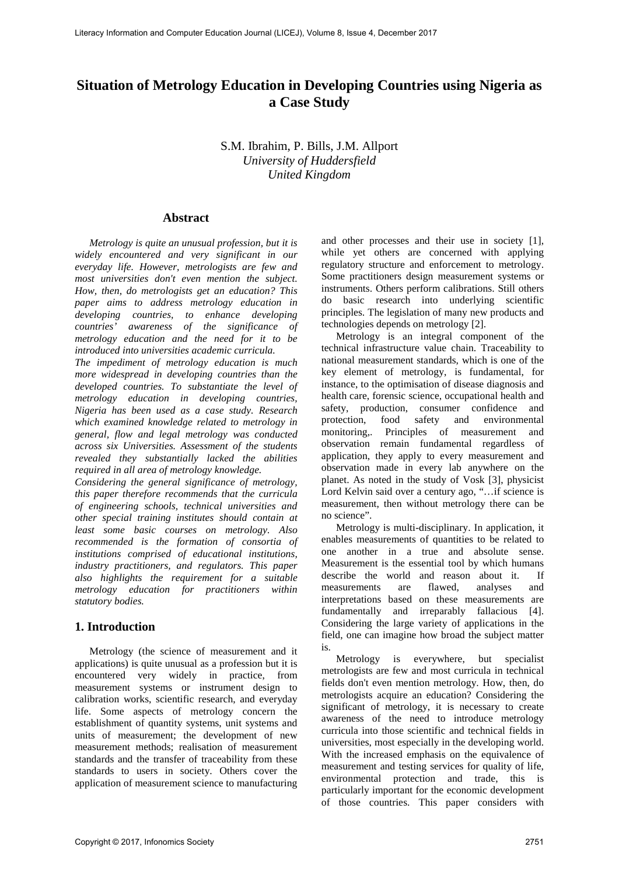# **Situation of Metrology Education in Developing Countries using Nigeria as a Case Study**

S.M. Ibrahim, P. Bills, J.M. Allport *University of Huddersfield United Kingdom* 

#### **Abstract**

*Metrology is quite an unusual profession, but it is widely encountered and very significant in our everyday life. However, metrologists are few and most universities don't even mention the subject. How, then, do metrologists get an education? This paper aims to address metrology education in developing countries, to enhance developing countries' awareness of the significance of metrology education and the need for it to be introduced into universities academic curricula.*

*The impediment of metrology education is much more widespread in developing countries than the developed countries. To substantiate the level of metrology education in developing countries, Nigeria has been used as a case study. Research which examined knowledge related to metrology in general, flow and legal metrology was conducted across six Universities. Assessment of the students revealed they substantially lacked the abilities required in all area of metrology knowledge.*

*Considering the general significance of metrology, this paper therefore recommends that the curricula of engineering schools, technical universities and other special training institutes should contain at least some basic courses on metrology. Also recommended is the formation of consortia of institutions comprised of educational institutions, industry practitioners, and regulators. This paper also highlights the requirement for a suitable metrology education for practitioners within statutory bodies.*

#### **1. Introduction**

Metrology (the science of measurement and it applications) is quite unusual as a profession but it is encountered very widely in practice, from measurement systems or instrument design to calibration works, scientific research, and everyday life. Some aspects of metrology concern the establishment of quantity systems, unit systems and units of measurement; the development of new measurement methods; realisation of measurement standards and the transfer of traceability from these standards to users in society. Others cover the application of measurement science to manufacturing

and other processes and their use in society [1], while yet others are concerned with applying regulatory structure and enforcement to metrology. Some practitioners design measurement systems or instruments. Others perform calibrations. Still others do basic research into underlying scientific principles. The legislation of many new products and technologies depends on metrology [2].

Metrology is an integral component of the technical infrastructure value chain. Traceability to national measurement standards, which is one of the key element of metrology, is fundamental, for instance, to the optimisation of disease diagnosis and health care, forensic science, occupational health and safety, production, consumer confidence and protection, food safety and environmental monitoring,. Principles of measurement and observation remain fundamental regardless of application, they apply to every measurement and observation made in every lab anywhere on the planet. As noted in the study of Vosk [3], physicist Lord Kelvin said over a century ago, "…if science is measurement, then without metrology there can be no science".

Metrology is multi-disciplinary. In application, it enables measurements of quantities to be related to one another in a true and absolute sense. Measurement is the essential tool by which humans describe the world and reason about it. If<br>measurements are flawed. analyses and measurements are flawed, analyses and interpretations based on these measurements are fundamentally and irreparably fallacious [4]. Considering the large variety of applications in the field, one can imagine how broad the subject matter is.

Metrology is everywhere, but specialist metrologists are few and most curricula in technical fields don't even mention metrology. How, then, do metrologists acquire an education? Considering the significant of metrology, it is necessary to create awareness of the need to introduce metrology curricula into those scientific and technical fields in universities, most especially in the developing world. With the increased emphasis on the equivalence of measurement and testing services for quality of life, environmental protection and trade, this is particularly important for the economic development of those countries. This paper considers with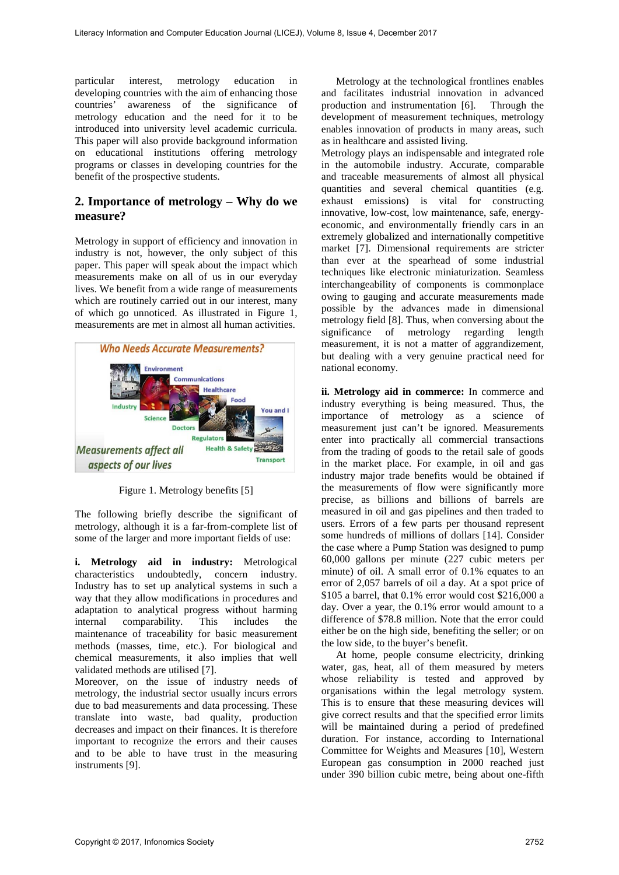particular interest, metrology education in developing countries with the aim of enhancing those countries' awareness of the significance of metrology education and the need for it to be introduced into university level academic curricula. This paper will also provide background information on educational institutions offering metrology programs or classes in developing countries for the benefit of the prospective students.

# **2. Importance of metrology – Why do we measure?**

Metrology in support of efficiency and innovation in industry is not, however, the only subject of this paper. This paper will speak about the impact which measurements make on all of us in our everyday lives. We benefit from a wide range of measurements which are routinely carried out in our interest, many of which go unnoticed. As illustrated in Figure 1, measurements are met in almost all human activities.



Figure 1. Metrology benefits [5]

The following briefly describe the significant of metrology, although it is a far-from-complete list of some of the larger and more important fields of use:

**i. Metrology aid in industry:** Metrological characteristics undoubtedly, concern industry. Industry has to set up analytical systems in such a way that they allow modifications in procedures and adaptation to analytical progress without harming internal comparability. This includes the maintenance of traceability for basic measurement methods (masses, time, etc.). For biological and chemical measurements, it also implies that well validated methods are utilised [7].

Moreover, on the issue of industry needs of metrology, the industrial sector usually incurs errors due to bad measurements and data processing. These translate into waste, bad quality, production decreases and impact on their finances. It is therefore important to recognize the errors and their causes and to be able to have trust in the measuring instruments [9].

Metrology at the technological frontlines enables and facilitates industrial innovation in advanced production and instrumentation [6]. Through the production and instrumentation [6]. development of measurement techniques, metrology enables innovation of products in many areas, such as in healthcare and assisted living.

Metrology plays an indispensable and integrated role in the automobile industry. Accurate, comparable and traceable measurements of almost all physical quantities and several chemical quantities (e.g. exhaust emissions) is vital for constructing innovative, low-cost, low maintenance, safe, energyeconomic, and environmentally friendly cars in an extremely globalized and internationally competitive market [7]. Dimensional requirements are stricter than ever at the spearhead of some industrial techniques like electronic miniaturization. Seamless interchangeability of components is commonplace owing to gauging and accurate measurements made possible by the advances made in dimensional metrology field [8]. Thus, when conversing about the significance of metrology regarding length measurement, it is not a matter of aggrandizement, but dealing with a very genuine practical need for national economy.

**ii. Metrology aid in commerce:** In commerce and industry everything is being measured. Thus, the importance of metrology as a science of measurement just can't be ignored. Measurements enter into practically all commercial transactions from the trading of goods to the retail sale of goods in the market place. For example, in oil and gas industry major trade benefits would be obtained if the measurements of flow were significantly more precise, as billions and billions of barrels are measured in oil and gas pipelines and then traded to users. Errors of a few parts per thousand represent some hundreds of millions of dollars [14]. Consider the case where a Pump Station was designed to pump 60,000 gallons per minute (227 cubic meters per minute) of oil. A small error of 0.1% equates to an error of 2,057 barrels of oil a day. At a spot price of \$105 a barrel, that 0.1% error would cost \$216,000 a day. Over a year, the 0.1% error would amount to a difference of \$78.8 million. Note that the error could either be on the high side, benefiting the seller; or on the low side, to the buyer's benefit.

At home, people consume electricity, drinking water, gas, heat, all of them measured by meters whose reliability is tested and approved by organisations within the legal metrology system. This is to ensure that these measuring devices will give correct results and that the specified error limits will be maintained during a period of predefined duration. For instance, according to International Committee for Weights and Measures [10], Western European gas consumption in 2000 reached just under 390 billion cubic metre, being about one-fifth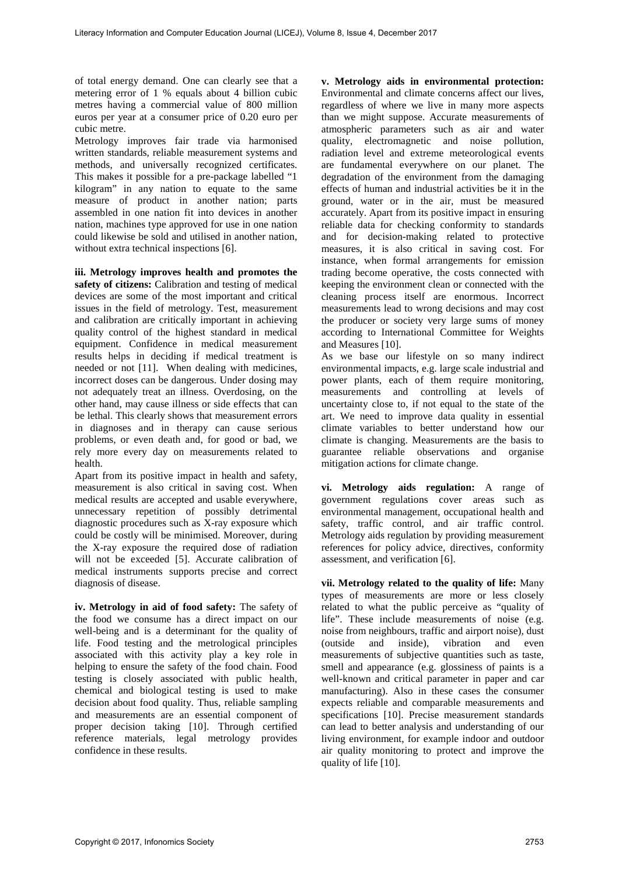of total energy demand. One can clearly see that a metering error of 1 % equals about 4 billion cubic metres having a commercial value of 800 million euros per year at a consumer price of 0.20 euro per cubic metre.

Metrology improves fair trade via harmonised written standards, reliable measurement systems and methods, and universally recognized certificates. This makes it possible for a pre-package labelled "1 kilogram" in any nation to equate to the same measure of product in another nation; parts assembled in one nation fit into devices in another nation, machines type approved for use in one nation could likewise be sold and utilised in another nation, without extra technical inspections [6].

**iii. Metrology improves health and promotes the**  safety of citizens: Calibration and testing of medical devices are some of the most important and critical issues in the field of metrology. Test, measurement and calibration are critically important in achieving quality control of the highest standard in medical equipment. Confidence in medical measurement results helps in deciding if medical treatment is needed or not [11]. When dealing with medicines, incorrect doses can be dangerous. Under dosing may not adequately treat an illness. Overdosing, on the other hand, may cause illness or side effects that can be lethal. This clearly shows that measurement errors in diagnoses and in therapy can cause serious problems, or even death and, for good or bad, we rely more every day on measurements related to health.

Apart from its positive impact in health and safety, measurement is also critical in saving cost. When medical results are accepted and usable everywhere, unnecessary repetition of possibly detrimental diagnostic procedures such as X-ray exposure which could be costly will be minimised. Moreover, during the X-ray exposure the required dose of radiation will not be exceeded [5]. Accurate calibration of medical instruments supports precise and correct diagnosis of disease.

**iv. Metrology in aid of food safety:** The safety of the food we consume has a direct impact on our well-being and is a determinant for the quality of life. Food testing and the metrological principles associated with this activity play a key role in helping to ensure the safety of the food chain. Food testing is closely associated with public health, chemical and biological testing is used to make decision about food quality. Thus, reliable sampling and measurements are an essential component of proper decision taking [10]. Through certified reference materials, legal metrology provides confidence in these results.

**v. Metrology aids in environmental protection:**  Environmental and climate concerns affect our lives, regardless of where we live in many more aspects than we might suppose. Accurate measurements of atmospheric parameters such as air and water quality, electromagnetic and noise pollution, radiation level and extreme meteorological events are fundamental everywhere on our planet. The degradation of the environment from the damaging effects of human and industrial activities be it in the ground, water or in the air, must be measured accurately. Apart from its positive impact in ensuring reliable data for checking conformity to standards and for decision-making related to protective measures, it is also critical in saving cost. For instance, when formal arrangements for emission trading become operative, the costs connected with keeping the environment clean or connected with the cleaning process itself are enormous. Incorrect measurements lead to wrong decisions and may cost the producer or society very large sums of money according to International Committee for Weights and Measures [10].

As we base our lifestyle on so many indirect environmental impacts, e.g. large scale industrial and power plants, each of them require monitoring, measurements and controlling at levels of uncertainty close to, if not equal to the state of the art. We need to improve data quality in essential climate variables to better understand how our climate is changing. Measurements are the basis to guarantee reliable observations and organise mitigation actions for climate change.

**vi. Metrology aids regulation:** A range of government regulations cover areas such as environmental management, occupational health and safety, traffic control, and air traffic control. Metrology aids regulation by providing measurement references for policy advice, directives, conformity assessment, and verification [6].

**vii. Metrology related to the quality of life:** Many types of measurements are more or less closely related to what the public perceive as "quality of life". These include measurements of noise (e.g. noise from neighbours, traffic and airport noise), dust (outside and inside), vibration and even measurements of subjective quantities such as taste, smell and appearance (e.g. glossiness of paints is a well-known and critical parameter in paper and car manufacturing). Also in these cases the consumer expects reliable and comparable measurements and specifications [10]. Precise measurement standards can lead to better analysis and understanding of our living environment, for example indoor and outdoor air quality monitoring to protect and improve the quality of life [10].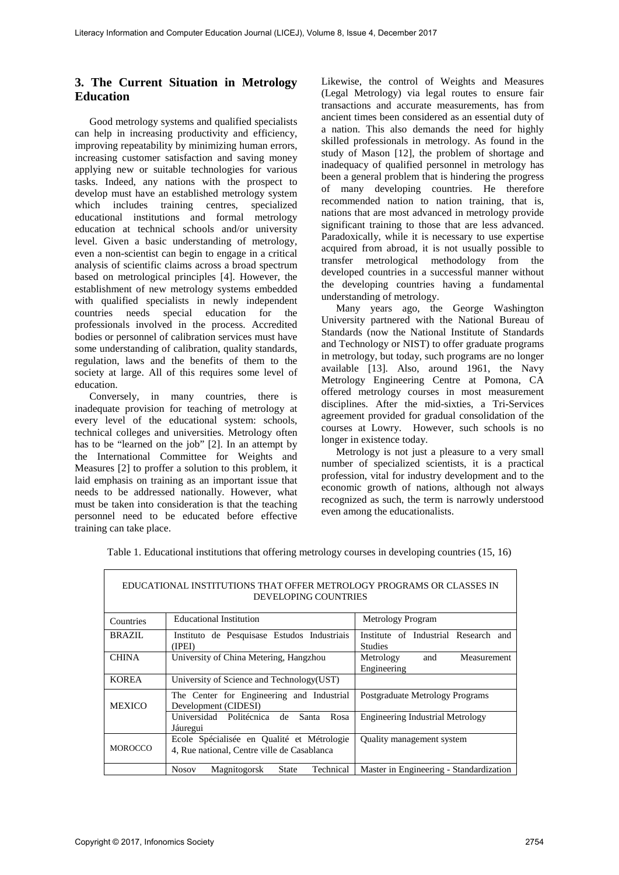# **3. The Current Situation in Metrology Education**

Good metrology systems and qualified specialists can help in increasing productivity and efficiency, improving repeatability by minimizing human errors, increasing customer satisfaction and saving money applying new or suitable technologies for various tasks. Indeed, any nations with the prospect to develop must have an established metrology system which includes training centres, specialized educational institutions and formal metrology education at technical schools and/or university level. Given a basic understanding of metrology, even a non-scientist can begin to engage in a critical analysis of scientific claims across a broad spectrum based on metrological principles [4]. However, the establishment of new metrology systems embedded with qualified specialists in newly independent countries needs special education for the professionals involved in the process. Accredited bodies or personnel of calibration services must have some understanding of calibration, quality standards, regulation, laws and the benefits of them to the society at large. All of this requires some level of education.

Conversely, in many countries, there is inadequate provision for teaching of metrology at every level of the educational system: schools, technical colleges and universities. Metrology often has to be "learned on the job" [2]. In an attempt by the International Committee for Weights and Measures [2] to proffer a solution to this problem, it laid emphasis on training as an important issue that needs to be addressed nationally. However, what must be taken into consideration is that the teaching personnel need to be educated before effective training can take place.

Likewise, the control of Weights and Measures (Legal Metrology) via legal routes to ensure fair transactions and accurate measurements, has from ancient times been considered as an essential duty of a nation. This also demands the need for highly skilled professionals in metrology. As found in the study of Mason [12], the problem of shortage and inadequacy of qualified personnel in metrology has been a general problem that is hindering the progress of many developing countries. He therefore recommended nation to nation training, that is, nations that are most advanced in metrology provide significant training to those that are less advanced. Paradoxically, while it is necessary to use expertise acquired from abroad, it is not usually possible to transfer metrological methodology from the developed countries in a successful manner without the developing countries having a fundamental understanding of metrology.

Many years ago, the George Washington University partnered with the National Bureau of Standards (now the National Institute of Standards and Technology or NIST) to offer graduate programs in metrology, but today, such programs are no longer available [13]. Also, around 1961, the Navy Metrology Engineering Centre at Pomona, CA offered metrology courses in most measurement disciplines. After the mid-sixties, a Tri-Services agreement provided for gradual consolidation of the courses at Lowry. However, such schools is no longer in existence today.

Metrology is not just a pleasure to a very small number of specialized scientists, it is a practical profession, vital for industry development and to the economic growth of nations, although not always recognized as such, the term is narrowly understood even among the educationalists.

| EDUCATIONAL INSTITUTIONS THAT OFFER METROLOGY PROGRAMS OR CLASSES IN<br><b>DEVELOPING COUNTRIES</b> |                                                                                           |                                                        |  |
|-----------------------------------------------------------------------------------------------------|-------------------------------------------------------------------------------------------|--------------------------------------------------------|--|
| Countries                                                                                           | <b>Educational Institution</b>                                                            | Metrology Program                                      |  |
| <b>BRAZIL</b>                                                                                       | Instituto de Pesquisase Estudos Industriais<br>(IPEI)                                     | Institute of Industrial Research and<br><b>Studies</b> |  |
| <b>CHINA</b>                                                                                        | University of China Metering, Hangzhou                                                    | Metrology<br>Measurement<br>and<br>Engineering         |  |
| <b>KOREA</b>                                                                                        | University of Science and Technology (UST)                                                |                                                        |  |
| <b>MEXICO</b>                                                                                       | The Center for Engineering and Industrial<br>Development (CIDESI)                         | Postgraduate Metrology Programs                        |  |
|                                                                                                     | Universidad Politécnica de<br>Santa<br>Rosa<br>Jáuregui                                   | <b>Engineering Industrial Metrology</b>                |  |
| <b>MOROCCO</b>                                                                                      | Ecole Spécialisée en Qualité et Métrologie<br>4, Rue national, Centre ville de Casablanca | Quality management system                              |  |
|                                                                                                     | <b>State</b><br>Technical<br><b>Nosov</b><br>Magnitogorsk                                 | Master in Engineering - Standardization                |  |

Table 1. Educational institutions that offering metrology courses in developing countries (15, 16)

 $\overline{1}$ 

٦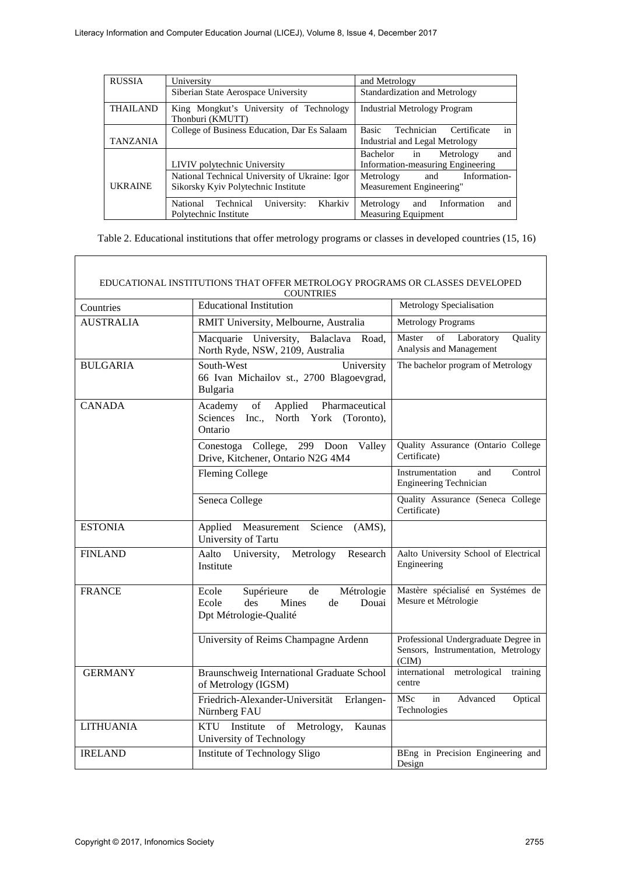| <b>RUSSIA</b>                                  | University                                                  | and Metrology                                   |
|------------------------------------------------|-------------------------------------------------------------|-------------------------------------------------|
|                                                | Siberian State Aerospace University                         | Standardization and Metrology                   |
| <b>THAILAND</b>                                | King Mongkut's University of Technology<br>Thonburi (KMUTT) | <b>Industrial Metrology Program</b>             |
|                                                | College of Business Education, Dar Es Salaam                | in<br><b>Basic</b><br>Technician<br>Certificate |
| <b>TANZANIA</b>                                |                                                             | Industrial and Legal Metrology                  |
|                                                |                                                             | Bachelor<br>Metrology<br>and<br>1n              |
|                                                | LIVIV polytechnic University                                | Information-measuring Engineering               |
| National Technical University of Ukraine: Igor |                                                             | Information-<br>Metrology<br>and                |
| <b>UKRAINE</b>                                 | Sikorsky Kyiv Polytechnic Institute                         | Measurement Engineering"                        |
|                                                | Kharkiv<br>National<br>University:<br>Technical             | Information<br>Metrology<br>and<br>and          |
|                                                | Polytechnic Institute                                       | Measuring Equipment                             |

Table 2. Educational institutions that offer metrology programs or classes in developed countries (15, 16)

| EDUCATIONAL INSTITUTIONS THAT OFFER METROLOGY PROGRAMS OR CLASSES DEVELOPED<br>COUNTRIES |                                                                                                           |                                                                                      |
|------------------------------------------------------------------------------------------|-----------------------------------------------------------------------------------------------------------|--------------------------------------------------------------------------------------|
| Countries                                                                                | <b>Educational Institution</b>                                                                            | Metrology Specialisation                                                             |
| <b>AUSTRALIA</b>                                                                         | RMIT University, Melbourne, Australia                                                                     | <b>Metrology Programs</b>                                                            |
|                                                                                          | Macquarie University, Balaclava Road,<br>North Ryde, NSW, 2109, Australia                                 | Master<br>of<br>Laboratory<br>Quality<br>Analysis and Management                     |
| <b>BULGARIA</b>                                                                          | South-West<br>University<br>66 Ivan Michailov st., 2700 Blagoevgrad,<br>Bulgaria                          | The bachelor program of Metrology                                                    |
| <b>CANADA</b>                                                                            | of<br>Applied<br>Pharmaceutical<br>Academy<br>Sciences Inc.,<br>North York (Toronto),<br>Ontario          |                                                                                      |
|                                                                                          | Conestoga College, 299 Doon Valley<br>Drive, Kitchener, Ontario N2G 4M4                                   | Quality Assurance (Ontario College<br>Certificate)                                   |
|                                                                                          | <b>Fleming College</b>                                                                                    | Instrumentation<br>Control<br>and<br><b>Engineering Technician</b>                   |
|                                                                                          | Seneca College                                                                                            | Quality Assurance (Seneca College<br>Certificate)                                    |
| <b>ESTONIA</b>                                                                           | Science<br>Applied Measurement<br>(AMS),<br>University of Tartu                                           |                                                                                      |
| <b>FINLAND</b>                                                                           | University,<br>Aalto<br>Metrology<br>Research<br>Institute                                                | Aalto University School of Electrical<br>Engineering                                 |
| <b>FRANCE</b>                                                                            | Supérieure<br>de<br>Métrologie<br>Ecole<br>Mines<br>Douai<br>des<br>de<br>Ecole<br>Dpt Métrologie-Qualité | Mastère spécialisé en Systémes de<br>Mesure et Métrologie                            |
|                                                                                          | University of Reims Champagne Ardenn                                                                      | Professional Undergraduate Degree in<br>Sensors, Instrumentation, Metrology<br>(CIM) |
| <b>GERMANY</b>                                                                           | Braunschweig International Graduate School<br>of Metrology (IGSM)                                         | international metrological<br>training<br>centre                                     |
|                                                                                          | Friedrich-Alexander-Universität<br>Erlangen-<br>Nürnberg FAU                                              | MSc<br>in<br>Advanced<br>Optical<br>Technologies                                     |
| <b>LITHUANIA</b>                                                                         | Institute of Metrology,<br><b>KTU</b><br>Kaunas<br>University of Technology                               |                                                                                      |
| <b>IRELAND</b>                                                                           | Institute of Technology Sligo                                                                             | BEng in Precision Engineering and<br>Design                                          |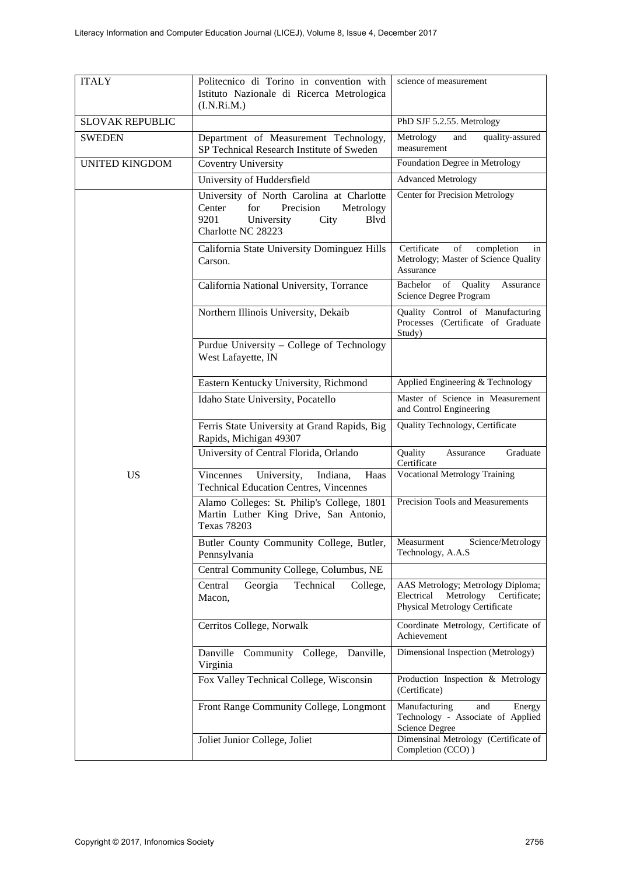| <b>ITALY</b>           | Politecnico di Torino in convention with<br>Istituto Nazionale di Ricerca Metrologica<br>(I.N.Ri.M.)                                             | science of measurement                                                                                         |
|------------------------|--------------------------------------------------------------------------------------------------------------------------------------------------|----------------------------------------------------------------------------------------------------------------|
| <b>SLOVAK REPUBLIC</b> |                                                                                                                                                  | PhD SJF 5.2.55. Metrology                                                                                      |
| <b>SWEDEN</b>          | Department of Measurement Technology,<br>SP Technical Research Institute of Sweden                                                               | Metrology<br>and<br>quality-assured<br>measurement                                                             |
| <b>UNITED KINGDOM</b>  | <b>Coventry University</b>                                                                                                                       | Foundation Degree in Metrology                                                                                 |
|                        | University of Huddersfield                                                                                                                       | <b>Advanced Metrology</b>                                                                                      |
|                        | University of North Carolina at Charlotte<br>Center<br>for<br>Precision<br>Metrology<br>9201<br>University<br>Blvd<br>City<br>Charlotte NC 28223 | <b>Center for Precision Metrology</b>                                                                          |
|                        | California State University Dominguez Hills<br>Carson.                                                                                           | of<br>Certificate<br>completion<br>in<br>Metrology; Master of Science Quality<br>Assurance                     |
|                        | California National University, Torrance                                                                                                         | of<br>Quality<br>Bachelor<br>Assurance<br>Science Degree Program                                               |
|                        | Northern Illinois University, Dekaib                                                                                                             | Quality Control of Manufacturing<br>Processes (Certificate of Graduate<br>Study)                               |
|                        | Purdue University - College of Technology<br>West Lafayette, IN                                                                                  |                                                                                                                |
|                        | Eastern Kentucky University, Richmond                                                                                                            | Applied Engineering & Technology                                                                               |
|                        | Idaho State University, Pocatello                                                                                                                | Master of Science in Measurement<br>and Control Engineering                                                    |
|                        | Ferris State University at Grand Rapids, Big<br>Rapids, Michigan 49307                                                                           | Quality Technology, Certificate                                                                                |
|                        | University of Central Florida, Orlando                                                                                                           | Quality<br>Graduate<br>Assurance<br>Certificate                                                                |
| <b>US</b>              | Vincennes<br>University,<br>Indiana.<br>Haas<br><b>Technical Education Centres, Vincennes</b>                                                    | <b>Vocational Metrology Training</b>                                                                           |
|                        | Alamo Colleges: St. Philip's College, 1801<br>Martin Luther King Drive, San Antonio,<br><b>Texas 78203</b>                                       | Precision Tools and Measurements                                                                               |
|                        | Butler County Community College, Butler,<br>Pennsylvania                                                                                         | Measurment<br>Science/Metrology<br>Technology, A.A.S                                                           |
|                        | Central Community College, Columbus, NE                                                                                                          |                                                                                                                |
|                        | Georgia<br>Technical<br>Central<br>College,<br>Macon,                                                                                            | AAS Metrology; Metrology Diploma;<br>Metrology<br>Certificate;<br>Electrical<br>Physical Metrology Certificate |
|                        | Cerritos College, Norwalk                                                                                                                        | Coordinate Metrology, Certificate of<br>Achievement                                                            |
|                        | Community College,<br>Danville<br>Danville,<br>Virginia                                                                                          | Dimensional Inspection (Metrology)                                                                             |
|                        | Fox Valley Technical College, Wisconsin                                                                                                          | Production Inspection & Metrology<br>(Certificate)                                                             |
|                        | Front Range Community College, Longmont                                                                                                          | Manufacturing<br>and<br>Energy<br>Technology - Associate of Applied<br>Science Degree                          |
|                        | Joliet Junior College, Joliet                                                                                                                    | Dimensinal Metrology (Certificate of<br>Completion (CCO))                                                      |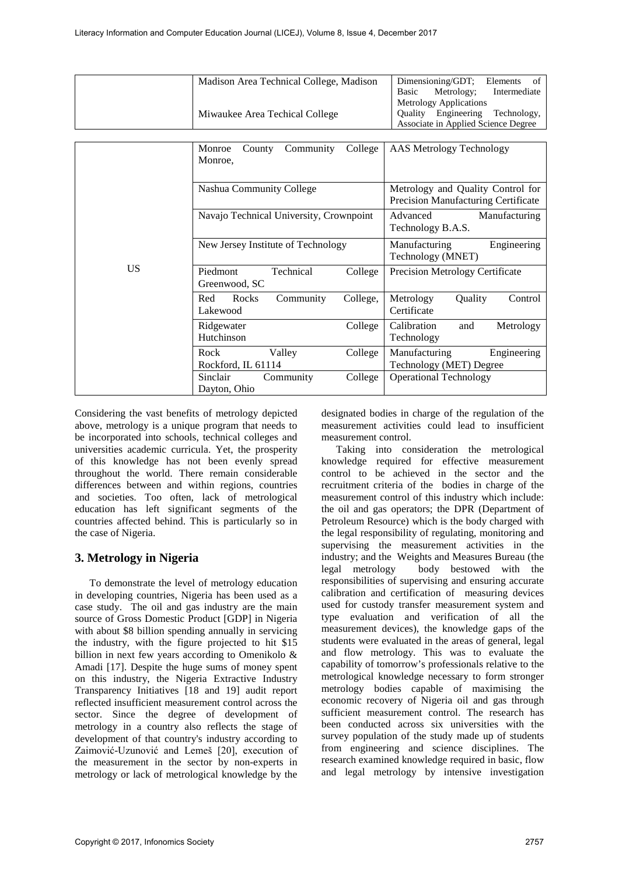|           | Madison Area Technical College, Madison<br>Miwaukee Area Techical College | Dimensioning/GDT;<br>Elements<br>of<br>Metrology;<br>Basic<br>Intermediate<br>Metrology Applications<br>Quality Engineering<br>Technology,<br>Associate in Applied Science Degree |
|-----------|---------------------------------------------------------------------------|-----------------------------------------------------------------------------------------------------------------------------------------------------------------------------------|
|           | Community<br>College<br>Monroe<br>County<br>Monroe,                       | AAS Metrology Technology                                                                                                                                                          |
|           | Nashua Community College                                                  | Metrology and Quality Control for<br>Precision Manufacturing Certificate                                                                                                          |
|           | Navajo Technical University, Crownpoint                                   | Advanced<br>Manufacturing<br>Technology B.A.S.                                                                                                                                    |
|           | New Jersey Institute of Technology                                        | Engineering<br>Manufacturing<br>Technology (MNET)                                                                                                                                 |
| <b>US</b> | Technical<br>Piedmont<br>College<br>Greenwood, SC                         | <b>Precision Metrology Certificate</b>                                                                                                                                            |
|           | Rocks<br>Red<br>Community<br>College,<br>Lakewood                         | Metrology<br>Quality<br>Control<br>Certificate                                                                                                                                    |
|           | Ridgewater<br>College<br>Hutchinson                                       | Calibration<br>Metrology<br>and<br>Technology                                                                                                                                     |
|           | Rock<br>Valley<br>College<br>Rockford, IL 61114                           | Manufacturing<br>Engineering<br>Technology (MET) Degree                                                                                                                           |
|           | Sinclair<br>Community<br>College<br>Dayton, Ohio                          | <b>Operational Technology</b>                                                                                                                                                     |

Considering the vast benefits of metrology depicted above, metrology is a unique program that needs to be incorporated into schools, technical colleges and universities academic curricula. Yet, the prosperity of this knowledge has not been evenly spread throughout the world. There remain considerable differences between and within regions, countries and societies. Too often, lack of metrological education has left significant segments of the countries affected behind. This is particularly so in the case of Nigeria.

## **3. Metrology in Nigeria**

To demonstrate the level of metrology education in developing countries, Nigeria has been used as a case study. The oil and gas industry are the main source of Gross Domestic Product [GDP] in Nigeria with about \$8 billion spending annually in servicing the industry, with the figure projected to hit \$15 billion in next few years according to Omenikolo & Amadi [17]. Despite the huge sums of money spent on this industry, the Nigeria Extractive Industry Transparency Initiatives [18 and 19] audit report reflected insufficient measurement control across the sector. Since the degree of development of metrology in a country also reflects the stage of development of that country's industry according to Zaimović-Uzunović and Lemeš [20], execution of the measurement in the sector by non-experts in metrology or lack of metrological knowledge by the

designated bodies in charge of the regulation of the measurement activities could lead to insufficient measurement control.

Taking into consideration the metrological knowledge required for effective measurement control to be achieved in the sector and the recruitment criteria of the bodies in charge of the measurement control of this industry which include: the oil and gas operators; the DPR (Department of Petroleum Resource) which is the body charged with the legal responsibility of regulating, monitoring and supervising the measurement activities in the industry; and the Weights and Measures Bureau (the legal metrology body bestowed with the body bestowed with the responsibilities of supervising and ensuring accurate calibration and certification of measuring devices used for custody transfer measurement system and type evaluation and verification of all the measurement devices), the knowledge gaps of the students were evaluated in the areas of general, legal and flow metrology. This was to evaluate the capability of tomorrow's professionals relative to the metrological knowledge necessary to form stronger metrology bodies capable of maximising the economic recovery of Nigeria oil and gas through sufficient measurement control. The research has been conducted across six universities with the survey population of the study made up of students from engineering and science disciplines. The research examined knowledge required in basic, flow and legal metrology by intensive investigation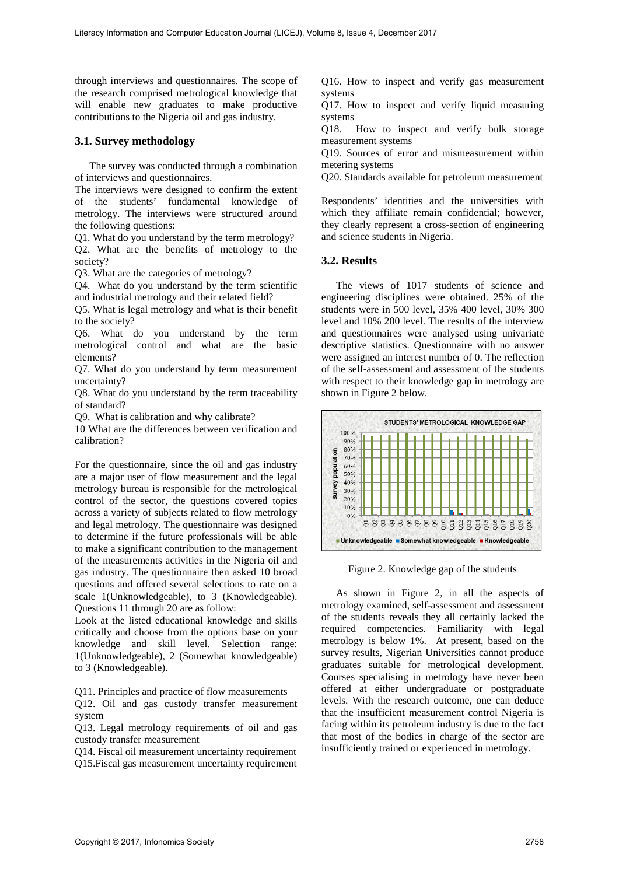through interviews and questionnaires. The scope of the research comprised metrological knowledge that will enable new graduates to make productive contributions to the Nigeria oil and gas industry.

#### **3.1. Survey methodology**

The survey was conducted through a combination of interviews and questionnaires.

The interviews were designed to confirm the extent of the students' fundamental knowledge of metrology. The interviews were structured around the following questions:

Q1. What do you understand by the term metrology? Q2. What are the benefits of metrology to the society?

Q3. What are the categories of metrology?

Q4. What do you understand by the term scientific and industrial metrology and their related field?

Q5. What is legal metrology and what is their benefit to the society?

Q6. What do you understand by the term metrological control and what are the basic elements?

Q7. What do you understand by term measurement uncertainty?

Q8. What do you understand by the term traceability of standard?

Q9. What is calibration and why calibrate?

10 What are the differences between verification and calibration?

For the questionnaire, since the oil and gas industry are a major user of flow measurement and the legal metrology bureau is responsible for the metrological control of the sector, the questions covered topics across a variety of subjects related to flow metrology and legal metrology. The questionnaire was designed to determine if the future professionals will be able to make a significant contribution to the management of the measurements activities in the Nigeria oil and gas industry. The questionnaire then asked 10 broad questions and offered several selections to rate on a scale 1(Unknowledgeable), to 3 (Knowledgeable). Questions 11 through 20 are as follow:

Look at the listed educational knowledge and skills critically and choose from the options base on your knowledge and skill level. Selection range: 1(Unknowledgeable), 2 (Somewhat knowledgeable) to 3 (Knowledgeable).

Q11. Principles and practice of flow measurements

Q12. Oil and gas custody transfer measurement system

Q13. Legal metrology requirements of oil and gas custody transfer measurement

Q14. Fiscal oil measurement uncertainty requirement Q15.Fiscal gas measurement uncertainty requirement Q16. How to inspect and verify gas measurement systems

Q17. How to inspect and verify liquid measuring systems

Q18. How to inspect and verify bulk storage measurement systems

Q19. Sources of error and mismeasurement within metering systems

Q20. Standards available for petroleum measurement

Respondents' identities and the universities with which they affiliate remain confidential; however, they clearly represent a cross-section of engineering and science students in Nigeria.

#### **3.2. Results**

The views of 1017 students of science and engineering disciplines were obtained. 25% of the students were in 500 level, 35% 400 level, 30% 300 level and 10% 200 level. The results of the interview and questionnaires were analysed using univariate descriptive statistics. Questionnaire with no answer were assigned an interest number of 0. The reflection of the self-assessment and assessment of the students with respect to their knowledge gap in metrology are shown in Figure 2 below.



Figure 2. Knowledge gap of the students

As shown in Figure 2, in all the aspects of metrology examined, self-assessment and assessment of the students reveals they all certainly lacked the required competencies. Familiarity with legal metrology is below 1%. At present, based on the survey results, Nigerian Universities cannot produce graduates suitable for metrological development. Courses specialising in metrology have never been offered at either undergraduate or postgraduate levels. With the research outcome, one can deduce that the insufficient measurement control Nigeria is facing within its petroleum industry is due to the fact that most of the bodies in charge of the sector are insufficiently trained or experienced in metrology.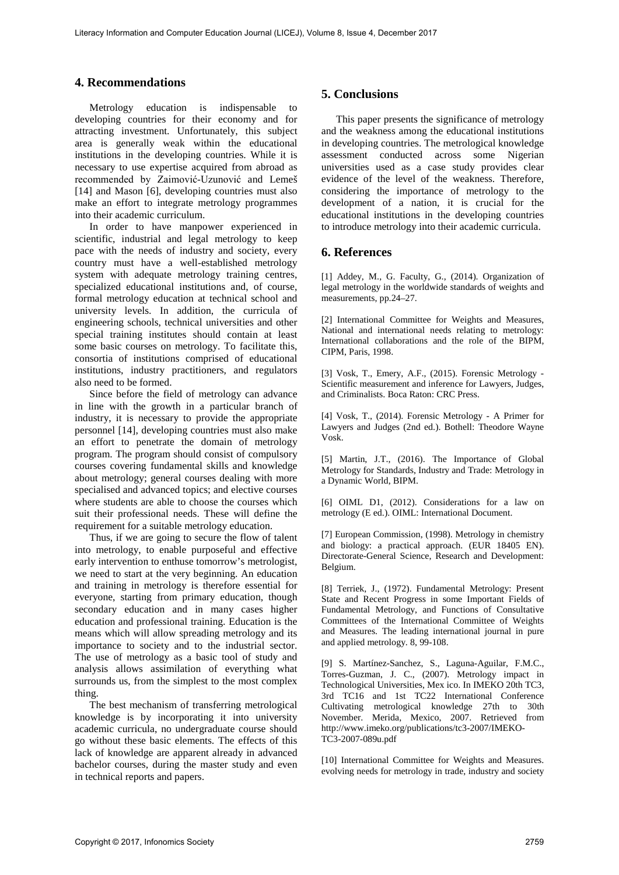### **4. Recommendations**

Metrology education is indispensable to developing countries for their economy and for attracting investment. Unfortunately, this subject area is generally weak within the educational institutions in the developing countries. While it is necessary to use expertise acquired from abroad as recommended by Zaimović-Uzunović and Lemeš [14] and Mason [6], developing countries must also make an effort to integrate metrology programmes into their academic curriculum.

In order to have manpower experienced in scientific, industrial and legal metrology to keep pace with the needs of industry and society, every country must have a well-established metrology system with adequate metrology training centres, specialized educational institutions and, of course, formal metrology education at technical school and university levels. In addition, the curricula of engineering schools, technical universities and other special training institutes should contain at least some basic courses on metrology. To facilitate this, consortia of institutions comprised of educational institutions, industry practitioners, and regulators also need to be formed.

Since before the field of metrology can advance in line with the growth in a particular branch of industry, it is necessary to provide the appropriate personnel [14], developing countries must also make an effort to penetrate the domain of metrology program. The program should consist of compulsory courses covering fundamental skills and knowledge about metrology; general courses dealing with more specialised and advanced topics; and elective courses where students are able to choose the courses which suit their professional needs. These will define the requirement for a suitable metrology education.

Thus, if we are going to secure the flow of talent into metrology, to enable purposeful and effective early intervention to enthuse tomorrow's metrologist, we need to start at the very beginning. An education and training in metrology is therefore essential for everyone, starting from primary education, though secondary education and in many cases higher education and professional training. Education is the means which will allow spreading metrology and its importance to society and to the industrial sector. The use of metrology as a basic tool of study and analysis allows assimilation of everything what surrounds us, from the simplest to the most complex thing.

The best mechanism of transferring metrological knowledge is by incorporating it into university academic curricula, no undergraduate course should go without these basic elements. The effects of this lack of knowledge are apparent already in advanced bachelor courses, during the master study and even in technical reports and papers.

#### **5. Conclusions**

This paper presents the significance of metrology and the weakness among the educational institutions in developing countries. The metrological knowledge assessment conducted across some Nigerian universities used as a case study provides clear evidence of the level of the weakness. Therefore, considering the importance of metrology to the development of a nation, it is crucial for the educational institutions in the developing countries to introduce metrology into their academic curricula.

#### **6. References**

[1] Addey, M., G. Faculty, G., (2014). Organization of legal metrology in the worldwide standards of weights and measurements, pp.24–27.

[2] International Committee for Weights and Measures, National and international needs relating to metrology: International collaborations and the role of the BIPM, CIPM, Paris, 1998.

[3] Vosk, T., Emery, A.F., (2015). Forensic Metrology - Scientific measurement and inference for Lawyers, Judges, and Criminalists. Boca Raton: CRC Press.

[4] Vosk, T., (2014). Forensic Metrology - A Primer for Lawyers and Judges (2nd ed.). Bothell: Theodore Wayne Vosk.

[5] Martin, J.T., (2016). The Importance of Global Metrology for Standards, Industry and Trade: Metrology in a Dynamic World, BIPM.

[6] OIML D1, (2012). Considerations for a law on metrology (E ed.). OIML: International Document.

[7] European Commission, (1998). Metrology in chemistry and biology: a practical approach. (EUR 18405 EN). Directorate-General Science, Research and Development: Belgium.

[8] Terriek, J., (1972). Fundamental Metrology: Present State and Recent Progress in some Important Fields of Fundamental Metrology, and Functions of Consultative Committees of the International Committee of Weights and Measures. The leading international journal in pure and applied metrology. 8, 99-108.

[9] S. Martínez-Sanchez, S., Laguna-Aguilar, F.M.C., Torres-Guzman, J. C., (2007). Metrology impact in Technological Universities, Mex ico. In IMEKO 20th TC3, 3rd TC16 and 1st TC22 International Conference Cultivating metrological knowledge 27th to 30th November. Merida, Mexico, 2007. Retrieved from http://www.imeko.org/publications/tc3-2007/IMEKO-TC3-2007-089u.pdf

[10] International Committee for Weights and Measures. evolving needs for metrology in trade, industry and society